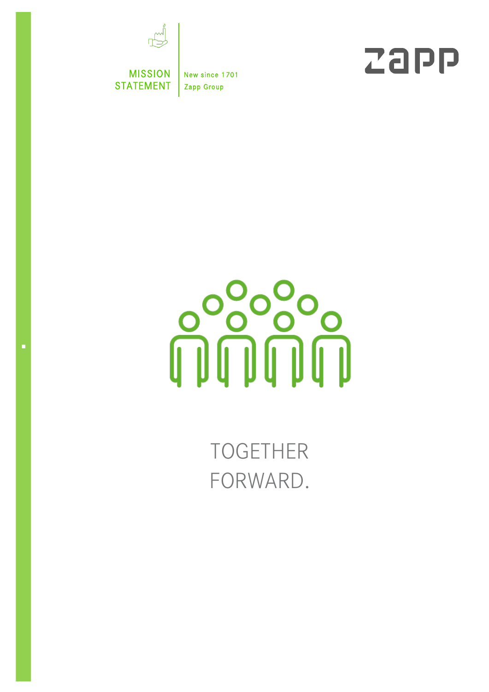

MISSION | New since 1701 STATEMENT | Zapp Group





TOGETHER FORWARD.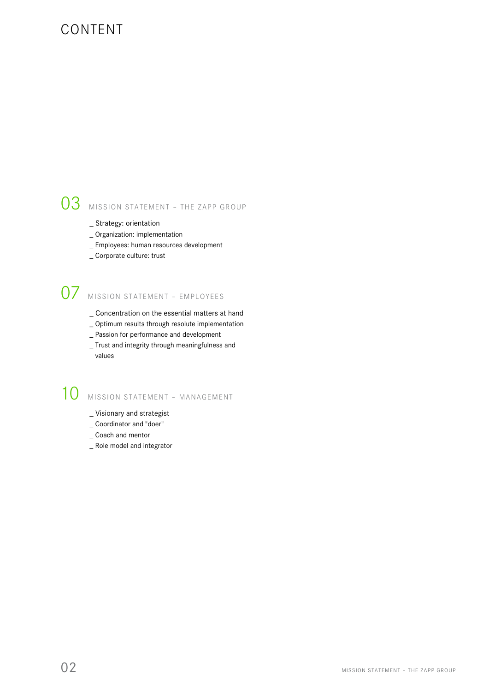### CONTENT

# 03 MISSION STATEMENT - THE ZAPP GROUP

- \_ Strategy: orientation
- \_ Organization: implementation
- \_ Employees: human resources development
- \_ Corporate culture: trust

# 07 MISSION STATEMENT – EMPLOYEES

- \_ Concentration on the essential matters at hand
- \_ Optimum results through resolute implementation
- \_ Passion for performance and development
- \_ Trust and integrity through meaningfulness and values

# 10 MISSION STATEMENT - MANAGEMENT

- \_ Visionary and strategist
- \_ Coordinator and "doer"
- \_ Coach and mentor
- \_ Role model and integrator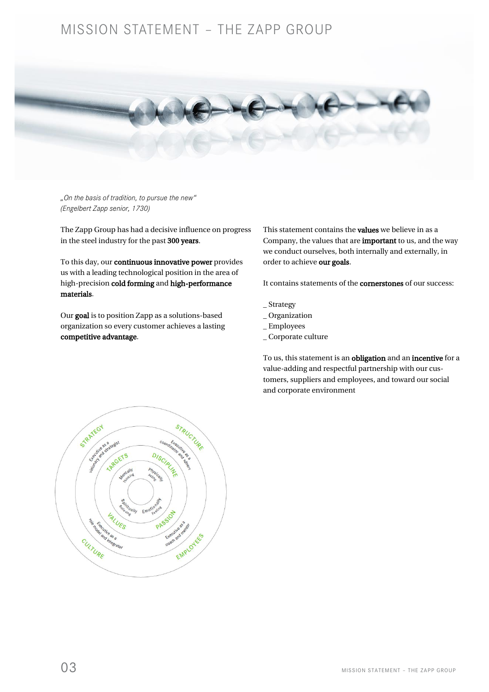### MISSION STATEMENT – THE ZAPP GROUP



*"On the basis of tradition, to pursue the new" (Engelbert Zapp senior, 1730)*

The Zapp Group has had a decisive influence on progress in the steel industry for the past 300 years.

To this day, our continuous innovative power provides us with a leading technological position in the area of high-precision cold forming and high-performance materials.

Our goal is to position Zapp as a solutions-based organization so every customer achieves a lasting competitive advantage.

This statement contains the values we believe in as a Company, the values that are important to us, and the way we conduct ourselves, both internally and externally, in order to achieve our goals.

It contains statements of the cornerstones of our success:

- \_ Strategy
- \_ Organization
- \_ Employees
- \_ Corporate culture

To us, this statement is an obligation and an incentive for a value-adding and respectful partnership with our customers, suppliers and employees, and toward our social and corporate environment

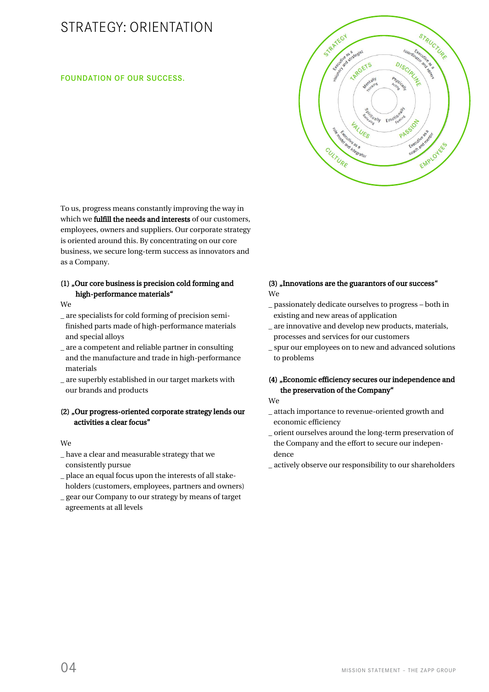## STRATEGY: ORIENTATION

#### FOUNDATION OF OUR SUCCESS.



To us, progress means constantly improving the way in which we fulfill the needs and interests of our customers, employees, owners and suppliers. Our corporate strategy is oriented around this. By concentrating on our core business, we secure long-term success as innovators and as a Company.

#### (1) "Our core business is precision cold forming and high-performance materials"

We

- \_ are specialists for cold forming of precision semi finished parts made of high-performance materials and special alloys
- \_ are a competent and reliable partner in consulting and the manufacture and trade in high-performance materials
- \_ are superbly established in our target markets with our brands and products

#### (2) "Our progress-oriented corporate strategy lends our activities a clear focus"

#### We

- \_ have a clear and measurable strategy that we consistently pursue
- \_ place an equal focus upon the interests of all stake holders (customers, employees, partners and owners)
- \_ gear our Company to our strategy by means of target agreements at all levels

#### (3) "Innovations are the guarantors of our success" We

- \_ passionately dedicate ourselves to progress both in existing and new areas of application
- \_ are innovative and develop new products, materials, processes and services for our customers
- \_ spur our employees on to new and advanced solutions to problems

#### (4) "Economic efficiency secures our independence and the preservation of the Company"

- We
- \_ attach importance to revenue-oriented growth and economic efficiency
- \_ orient ourselves around the long-term preservation of the Company and the effort to secure our indepen dence
- \_ actively observe our responsibility to our shareholders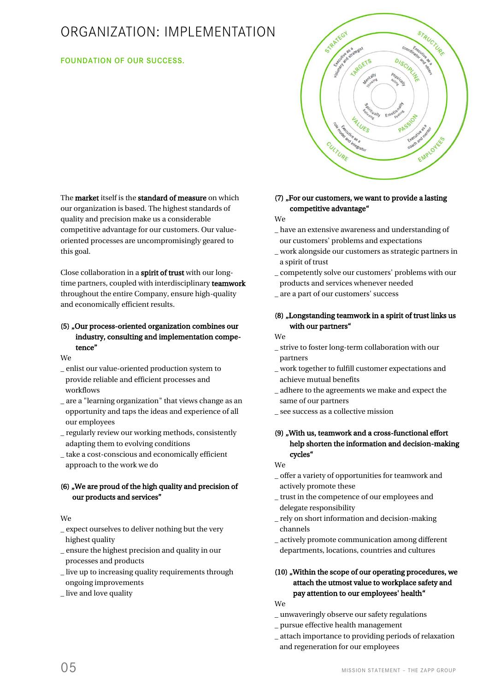## ORGANIZATION: IMPLEMENTATION

#### FOUNDATION OF OUR SUCCESS.



The **market** itself is the **standard of measure** on which our organization is based. The highest standards of quality and precision make us a considerable competitive advantage for our customers. Our valueoriented processes are uncompromisingly geared to this goal.

Close collaboration in a spirit of trust with our longtime partners, coupled with interdisciplinary teamwork throughout the entire Company, ensure high-quality and economically efficient results.

### (5) "Our process-oriented organization combines our industry, consulting and implementation compe tence"

We

- \_ enlist our value-oriented production system to provide reliable and efficient processes and workflows
- \_ are a "learning organization" that views change as an opportunity and taps the ideas and experience of all our employees
- \_ regularly review our working methods, consistently adapting them to evolving conditions
- \_ take a cost-conscious and economically efficient approach to the work we do

#### (6) , We are proud of the high quality and precision of our products and services"

#### We

- \_ expect ourselves to deliver nothing but the very highest quality
- \_ ensure the highest precision and quality in our processes and products
- \_ live up to increasing quality requirements through ongoing improvements
- \_ live and love quality

### $(7)$ , For our customers, we want to provide a lasting competitive advantage"

We

- \_ have an extensive awareness and understanding of our customers' problems and expectations
- \_ work alongside our customers as strategic partners in a spirit of trust
- \_ competently solve our customers' problems with our products and services whenever needed
- \_ are a part of our customers' success

#### (8) "Longstanding teamwork in a spirit of trust links us with our partners"

#### We

- \_ strive to foster long-term collaboration with our partners
- \_ work together to fulfill customer expectations and achieve mutual benefits
- \_ adhere to the agreements we make and expect the same of our partners
- \_ see success as a collective mission

#### (9) "With us, teamwork and a cross-functional effort help shorten the information and decision-making cycles"

We

- \_ offer a variety of opportunities for teamwork and actively promote these
- \_ trust in the competence of our employees and delegate responsibility
- \_ rely on short information and decision-making channels
- \_ actively promote communication among different departments, locations, countries and cultures

#### (10) "Within the scope of our operating procedures, we attach the utmost value to workplace safety and pay attention to our employees' health"

We

- \_ unwaveringly observe our safety regulations
- \_ pursue effective health management
- \_ attach importance to providing periods of relaxation
- and regeneration for our employees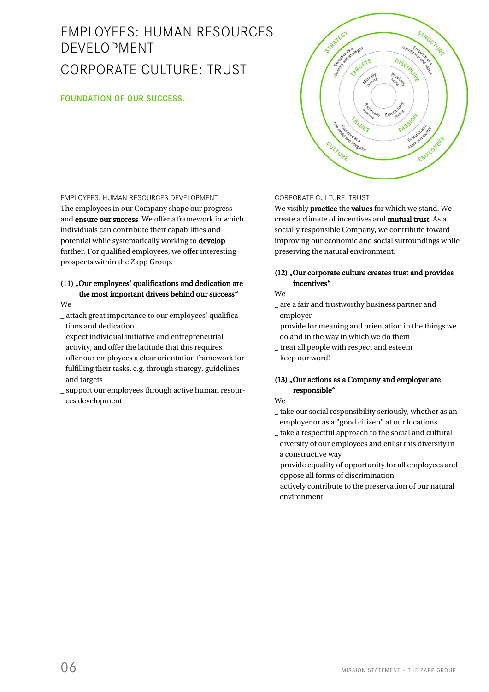# EMPLOYEES: HUMAN RESOURCES DEVELOPMENT CORPORATE CULTURE: TRUST

#### FOUNDATION OF OUR SUCCESS.

STRATEGY STRUCTURE Cutture as a degist DISCIPLING **Strate CETS** PASSION ALUES Executive ass Executive anarchi EMPLOYED CULTURE

### EMPLOYEES: HUMAN RESOURCES DEVELOPMENT

The employees in our Company shape our progress and ensure our success. We offer a framework in which individuals can contribute their capabilities and potential while systematically working to develop further. For qualified employees, we offer interesting prospects within the Zapp Group.

### (11) "Our employees' qualifications and dedication are the most important drivers behind our success"

We

- \_ attach great importance to our employees' qualifica tions and dedication
- \_ expect individual initiative and entrepreneurial activity, and offer the latitude that this requires
- \_ offer our employees a clear orientation framework for fulfilling their tasks, e.g. through strategy, guidelines and targets
- \_ support our employees through active human resour ces development

#### CORPORATE CULTURE: TRUST

We visibly practice the values for which we stand. We create a climate of incentives and mutual trust. As a socially responsible Company, we contribute toward improving our economic and social surroundings while preserving the natural environment.

#### (12) "Our corporate culture creates trust and provides incentives"

#### We

- \_ are a fair and trustworthy business partner and employer
- \_ provide for meaning and orientation in the things we do and in the way in which we do them
- \_ treat all people with respect and esteem
- \_ keep our word!

#### (13) "Our actions as a Company and employer are responsible"

We

- \_ take our social responsibility seriously, whether as an employer or as a "good citizen" at our locations
- \_ take a respectful approach to the social and cultural diversity of our employees and enlist this diversity in a constructive way
- \_ provide equality of opportunity for all employees and oppose all forms of discrimination
- \_ actively contribute to the preservation of our natural environment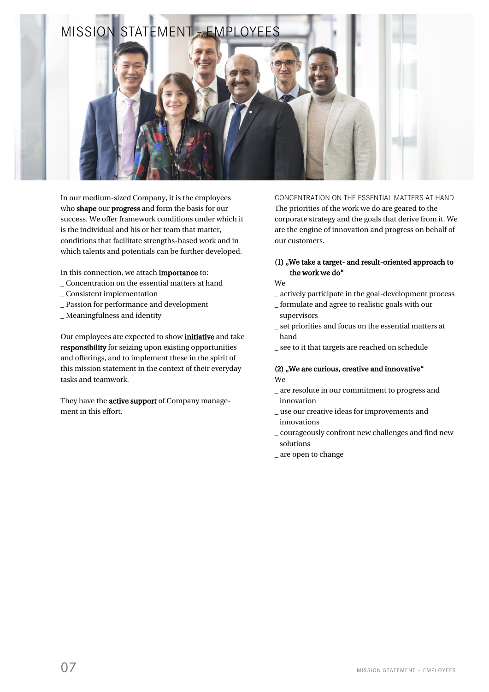

In our medium-sized Company, it is the employees who shape our progress and form the basis for our success. We offer framework conditions under which it is the individual and his or her team that matter, conditions that facilitate strengths-based work and in which talents and potentials can be further developed.

In this connection, we attach importance to:

- \_ Concentration on the essential matters at hand
- \_ Consistent implementation
- \_ Passion for performance and development
- \_ Meaningfulness and identity

Our employees are expected to show initiative and take responsibility for seizing upon existing opportunities and offerings, and to implement these in the spirit of this mission statement in the context of their everyday tasks and teamwork.

They have the **active support** of Company management in this effort.

CONCENTRATION ON THE ESSENTIAL MATTERS AT HAND The priorities of the work we do are geared to the corporate strategy and the goals that derive from it. We are the engine of innovation and progress on behalf of our customers.

#### (1) "We take a target- and result-oriented approach to the work we do"

We

- \_ actively participate in the goal-development process
- \_ formulate and agree to realistic goals with our supervisors
- \_ set priorities and focus on the essential matters at hand
- \_ see to it that targets are reached on schedule

#### $(2)$  "We are curious, creative and innovative" We

- \_ are resolute in our commitment to progress and innovation
- \_ use our creative ideas for improvements and innovations
- \_ courageously confront new challenges and find new solutions
- \_ are open to change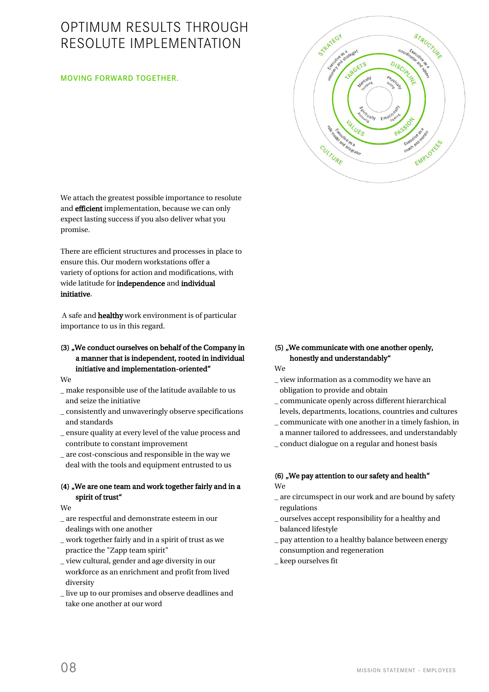### OPTIMUM RESULTS THROUGH RESOLUTE IMPLEMENTATION

#### MOVING FORWARD TOGETHER.

We attach the greatest possible importance to resolute and efficient implementation, because we can only expect lasting success if you also deliver what you promise.

There are efficient structures and processes in place to ensure this. Our modern workstations offer a variety of options for action and modifications, with wide latitude for independence and individual initiative.

A safe and healthy work environment is of particular importance to us in this regard.

#### (3) , We conduct ourselves on behalf of the Company in a manner that is independent, rooted in individual initiative and implementation-oriented"

We

- \_ make responsible use of the latitude available to us and seize the initiative
- \_ consistently and unwaveringly observe specifications and standards
- \_ ensure quality at every level of the value process and contribute to constant improvement
- \_ are cost-conscious and responsible in the way we deal with the tools and equipment entrusted to us

#### (4) , We are one team and work together fairly and in a spirit of trust"

We

- \_ are respectful and demonstrate esteem in our dealings with one another
- \_ work together fairly and in a spirit of trust as we practice the "Zapp team spirit"
- \_ view cultural, gender and age diversity in our workforce as an enrichment and profit from lived diversity
- \_ live up to our promises and observe deadlines and take one another at our word

### (5) "We communicate with one another openly, honestly and understandably"

STRATEGY

Scytthe as a degist

**ARRGETS** 

ALUES

enoted the es a MET

CULTURE

STRUCTURE

**DISCIRLY** 

PASSION

ISSO Executive sea contractor

EMPLOYED

We

- \_ view information as a commodity we have an obligation to provide and obtain
- \_ communicate openly across different hierarchical levels, departments, locations, countries and cultures
- \_ communicate with one another in a timely fashion, in a manner tailored to addressees, and understandably
- \_ conduct dialogue on a regular and honest basis

#### (6) "We pay attention to our safety and health" We

- \_ are circumspect in our work and are bound by safety regulations
- \_ ourselves accept responsibility for a healthy and balanced lifestyle
- \_ pay attention to a healthy balance between energy consumption and regeneration
- \_ keep ourselves fit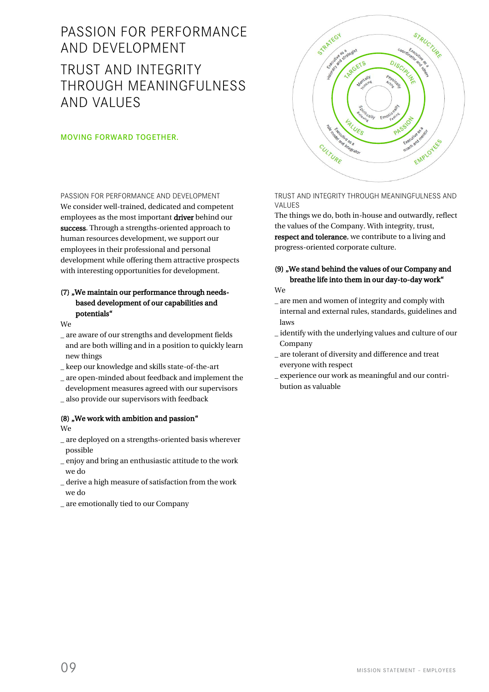## PASSION FOR PERFORMANCE AND DEVELOPMENT TRUST AND INTEGRITY THROUGH MFANINGFUI NFSS AND VALUES

#### MOVING FORWARD TOGETHER.

PASSION FOR PERFORMANCE AND DEVELOPMENT We consider well-trained, dedicated and competent employees as the most important driver behind our success. Through a strengths-oriented approach to human resources development, we support our employees in their professional and personal development while offering them attractive prospects with interesting opportunities for development.

#### (7) "We maintain our performance through needs based development of our capabilities and potentials"

We

- \_ are aware of our strengths and development fields and are both willing and in a position to quickly learn new things
- \_ keep our knowledge and skills state-of-the-art
- \_ are open-minded about feedback and implement the development measures agreed with our supervisors
- \_ also provide our supervisors with feedback

#### (8) "We work with ambition and passion" We

- \_ are deployed on a strengths-oriented basis wherever possible
- \_ enjoy and bring an enthusiastic attitude to the work we do
- \_ derive a high measure of satisfaction from the work we do
- \_ are emotionally tied to our Company



#### TRUST AND INTEGRITY THROUGH MEANINGFULNESS AND VALUES

The things we do, both in-house and outwardly, reflect the values of the Company. With integrity, trust, respect and tolerance, we contribute to a living and progress-oriented corporate culture.

### (9) "We stand behind the values of our Company and breathe life into them in our day-to-day work"

We

- \_ are men and women of integrity and comply with internal and external rules, standards, guidelines and laws
- \_ identify with the underlying values and culture of our Company
- \_ are tolerant of diversity and difference and treat everyone with respect
- \_ experience our work as meaningful and our contri bution as valuable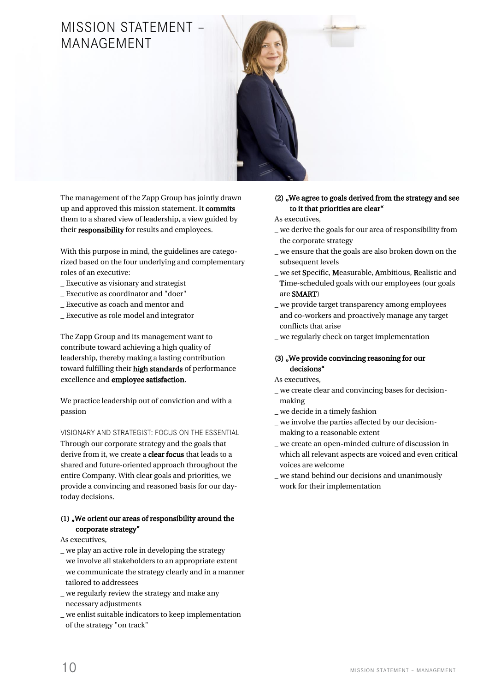### MISSION STATEMENT MANAGEMENT



The management of the Zapp Group has jointly drawn up and approved this mission statement. It commits them to a shared view of leadership, a view guided by their responsibility for results and employees.

With this purpose in mind, the guidelines are categorized based on the four underlying and complementary roles of an executive:

- \_ Executive as visionary and strategist
- \_ Executive as coordinator and "doer"
- \_ Executive as coach and mentor and
- \_ Executive as role model and integrator

The Zapp Group and its management want to contribute toward achieving a high quality of leadership, thereby making a lasting contribution toward fulfilling their high standards of performance excellence and employee satisfaction.

We practice leadership out of conviction and with a passion

VISIONARY AND STRATEGIST: FOCUS ON THE ESSENTIAL

Through our corporate strategy and the goals that derive from it, we create a **clear focus** that leads to a shared and future-oriented approach throughout the entire Company. With clear goals and priorities, we provide a convincing and reasoned basis for our daytoday decisions.

#### $(1)$  , We orient our areas of responsibility around the corporate strategy"

As executives,

- \_ we play an active role in developing the strategy
- \_ we involve all stakeholders to an appropriate extent \_ we communicate the strategy clearly and in a manner tailored to addressees
- \_ we regularly review the strategy and make any necessary adjustments
- \_ we enlist suitable indicators to keep implementation of the strategy "on track"

#### (2) , We agree to goals derived from the strategy and see to it that priorities are clear"

As executives,

- \_ we derive the goals for our area of responsibility from the corporate strategy
- \_ we ensure that the goals are also broken down on the subsequent levels
- \_ we set Specific, Measurable, Ambitious, Realistic and Time-scheduled goals with our employees (our goals are SMART)
- \_ we provide target transparency among employees and co-workers and proactively manage any target conflicts that arise
- \_ we regularly check on target implementation

#### (3) "We provide convincing reasoning for our decisions"

- As executives,
- \_ we create clear and convincing bases for decision making
- \_ we decide in a timely fashion
- \_ we involve the parties affected by our decision-
- making to a reasonable extent
- \_ we create an open-minded culture of discussion in which all relevant aspects are voiced and even critical voices are welcome
- \_ we stand behind our decisions and unanimously work for their implementation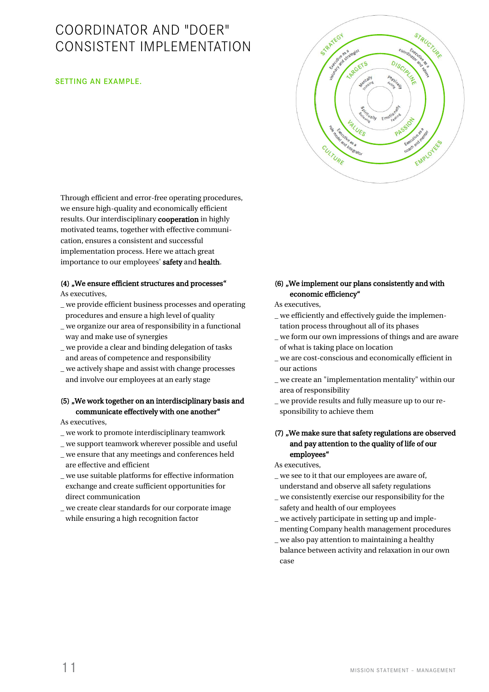## COORDINATOR AND "DOER" CONSISTENT IMPLEMENTATION

#### SETTING AN EXAMPLE.



Through efficient and error-free operating procedures, we ensure high-quality and economically efficient results. Our interdisciplinary cooperation in highly motivated teams, together with effective communication, ensures a consistent and successful implementation process. Here we attach great importance to our employees' safety and health.

### (4) "We ensure efficient structures and processes"

As executives,

- \_ we provide efficient business processes and operating procedures and ensure a high level of quality
- \_ we organize our area of responsibility in a functional way and make use of synergies
- \_ we provide a clear and binding delegation of tasks and areas of competence and responsibility
- \_ we actively shape and assist with change processes and involve our employees at an early stage

#### (5) , We work together on an interdisciplinary basis and communicate effectively with one another"

As executives,

- \_ we work to promote interdisciplinary teamwork
- \_ we support teamwork wherever possible and useful
- \_ we ensure that any meetings and conferences held are effective and efficient
- \_ we use suitable platforms for effective information exchange and create sufficient opportunities for direct communication
- \_ we create clear standards for our corporate image while ensuring a high recognition factor

#### (6) "We implement our plans consistently and with economic efficiency"

As executives,

- \_ we efficiently and effectively guide the implemen tation process throughout all of its phases
- \_ we form our own impressions of things and are aware of what is taking place on location
- \_ we are cost-conscious and economically efficient in our actions
- \_ we create an "implementation mentality" within our area of responsibility
- \_ we provide results and fully measure up to our re sponsibility to achieve them

#### (7) , We make sure that safety regulations are observed and pay attention to the quality of life of our employees"

#### As executives,

- \_ we see to it that our employees are aware of, understand and observe all safety regulations
- \_ we consistently exercise our responsibility for the safety and health of our employees
- \_ we actively participate in setting up and imple menting Company health management procedures
- \_ we also pay attention to maintaining a healthy balance between activity and relaxation in our own case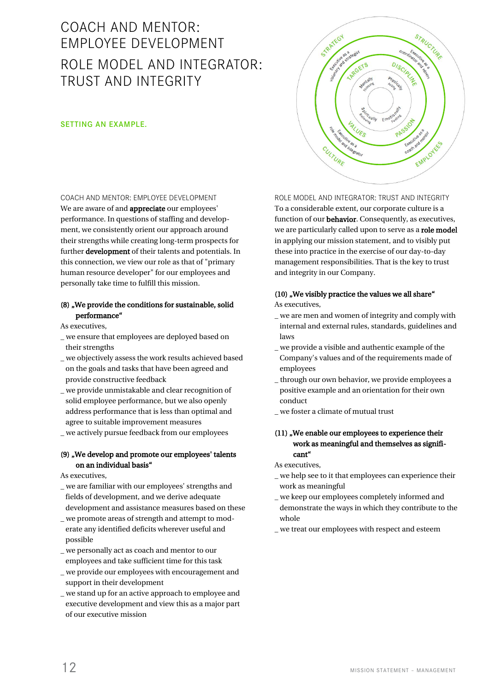# COACH AND MENTOR: EMPLOYEE DEVELOPMENT ROLE MODEL AND INTEGRATOR: TRUST AND INTEGRITY

#### SETTING AN EXAMPLE.

COACH AND MENTOR: EMPLOYEE DEVELOPMENT We are aware of and appreciate our employees' performance. In questions of staffing and development, we consistently orient our approach around their strengths while creating long-term prospects for further **development** of their talents and potentials. In this connection, we view our role as that of "primary human resource developer" for our employees and personally take time to fulfill this mission.

#### (8) "We provide the conditions for sustainable, solid performance"

As executives,

- \_ we ensure that employees are deployed based on their strengths
- \_ we objectively assess the work results achieved based on the goals and tasks that have been agreed and provide constructive feedback
- \_ we provide unmistakable and clear recognition of solid employee performance, but we also openly address performance that is less than optimal and agree to suitable improvement measures
- \_ we actively pursue feedback from our employees

#### (9) "We develop and promote our employees' talents on an individual basis"

As executives,

- \_ we are familiar with our employees' strengths and fields of development, and we derive adequate development and assistance measures based on these
- \_ we promote areas of strength and attempt to mod erate any identified deficits wherever useful and possible
- \_ we personally act as coach and mentor to our employees and take sufficient time for this task
- \_ we provide our employees with encouragement and support in their development
- \_ we stand up for an active approach to employee and executive development and view this as a major part of our executive mission

ROLE MODEL AND INTEGRATOR: TRUST AND INTEGRITY To a considerable extent, our corporate culture is a function of our **behavior**. Consequently, as executives, we are particularly called upon to serve as a role model in applying our mission statement, and to visibly put these into practice in the exercise of our day-to-day management responsibilities. That is the key to trust and integrity in our Company.

STRATEGY

CULTURE

ATL Beautie as a dress to

**ARRGETS** 

**VALUES** 

egrato

STRUCTURE

DISCIPL<sup>11</sup>

PASSION

Executive as a Executive one

EMPLOYED

#### $(10)$  "We visibly practice the values we all share" As executives,

- \_ we are men and women of integrity and comply with
- internal and external rules, standards, guidelines and laws \_ we provide a visible and authentic example of the
- Company's values and of the requirements made of employees
- \_ through our own behavior, we provide employees a positive example and an orientation for their own conduct
- \_ we foster a climate of mutual trust

#### (11) "We enable our employees to experience their work as meaningful and themselves as signifi cant"

As executives,

- \_ we help see to it that employees can experience their work as meaningful
- \_ we keep our employees completely informed and demonstrate the ways in which they contribute to the whole
- \_ we treat our employees with respect and esteem